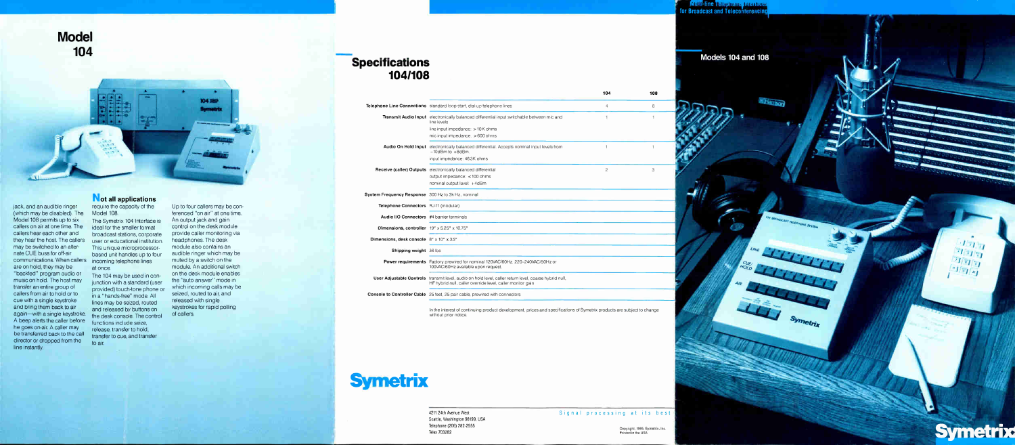



jack, and an audible ringer (which may be disabled). The Model 108 permits up to six callers on air at one time. The callers hear each other and they hear the host. The callers may be switched to an alternateCUE buss for off-air communications. When callers are on hold, they may be "backfed" program audio or music on hold. The host may transfer an entire group of callers from air to hold or to cue with a single keystroke and bring them back to air again—with a single keystroke. A beep alerts the caller before he goes on-air. A caller may be transferred back to the call director or dropped from the line instantly.

# Not all applications

require the capacity of the Model 108.

The Symetrix 104 Interface is ideal for the smaller format broadcast stations, corporate user or educational institution. This unique microprocessorbased unit handles up to four incoming telephone lines at once.

# Specifications 104/108

The 104 may be used in conjunction with a standard (user provided) touch-tone phone or in a "hands-free" mode. All lines may be seized, routed and released by buttons on the desk console. The control functions include seize, release, transfer to hold, transfer to cue, and transfer to air.

Up to four callers may be conferenced "on air" at one time. An output jack and gain control on the desk module provide caller monitoring via headphones. The desk module also contains an audible ringer which may be muted by a switch on the module. An additional switch on the desk module enables the "auto answer" mode in which incoming calls may be seized, routed to air, and released with single keystrokes for rapid polling of callers.

| <b>Telephone Line Connections</b>  | standard loop start, dial-up telephone lines                                                          |
|------------------------------------|-------------------------------------------------------------------------------------------------------|
| <b>Transmit Audio Input</b>        | electronically balanced differential input swit-<br>line levels                                       |
|                                    | line input impedance: > 10K ohms                                                                      |
|                                    | mic input impedance. $>600$ ohms                                                                      |
| <b>Audio On Hold Input</b>         | electronically balanced differential. Accepts<br>$-10$ d $Bm$ to $+8$ d $Bm$ .                        |
|                                    | input impedance: 46.3K ohms                                                                           |
| <b>Receive (caller) Outputs</b>    | electronically balanced differential                                                                  |
|                                    | output impedance: <100 ohms                                                                           |
|                                    | nominal output level: +4dBm                                                                           |
| <b>System Frequency Response</b>   | 300 Hz to 3k Hz, nominal                                                                              |
| <b>Telephone Connectors</b>        | RJ-11 (modular)                                                                                       |
| <b>Audio I/O Connectors</b>        | #4 barrier terminals                                                                                  |
| Dimensions, controller             | 19" x 5.25" x 10.75"                                                                                  |
| Dimensions, desk console           | 8" x 10" x 3.5"                                                                                       |
| Shipping weight                    | 36 lbs                                                                                                |
| <b>Power requirements</b>          | Factory prewired for nominal 120VAC/60Hz.<br>100VAC/60Hz available upon request.                      |
| <b>User Adjustable Controls</b>    | transmit level, audio on hold level, caller retur<br>HF hybrid null, caller override level, caller mo |
| <b>Console to Controller Cable</b> | 25 feet, 25 pair cable, prewired with connect                                                         |
|                                    |                                                                                                       |



In the interest of continuing product development, prices and specifications of Symetrix products are subject to change

without prior notice.

# **Symetrix**

4211 24th Avenue West Seattle, Washington 98199, USA Telephone (206) 282-2555 Telex 703282

Signal processing at its best

Copyright, 1985, Symotrix, Inc. Printed in the USA